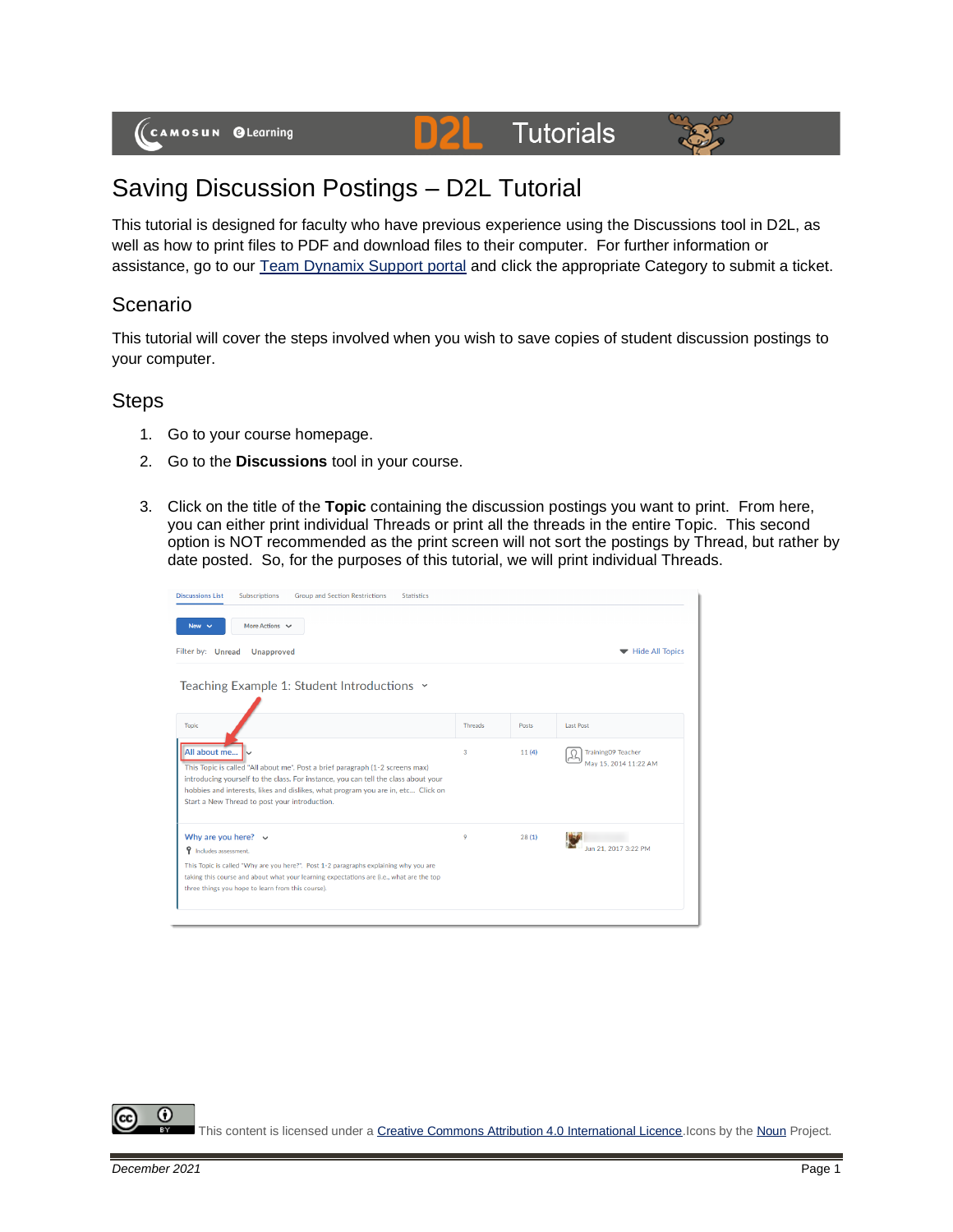# **Tutorials**



## Saving Discussion Postings – D2L Tutorial

This tutorial is designed for faculty who have previous experience using the Discussions tool in D2L, as well as how to print files to PDF and download files to their computer. For further information or assistance, go to our [Team Dynamix Support portal](https://camosun.teamdynamix.com/TDClient/67/Portal/Requests/ServiceCatalog?CategoryID=523) and click the appropriate Category to submit a ticket.

D

#### Scenario

This tutorial will cover the steps involved when you wish to save copies of student discussion postings to your computer.

#### **Steps**

- 1. Go to your course homepage.
- 2. Go to the **Discussions** tool in your course.
- 3. Click on the title of the **Topic** containing the discussion postings you want to print. From here, you can either print individual Threads or print all the threads in the entire Topic. This second option is NOT recommended as the print screen will not sort the postings by Thread, but rather by date posted. So, for the purposes of this tutorial, we will print individual Threads.



⋒ This content is licensed under [a Creative Commons Attribution 4.0 International Licence.I](https://creativecommons.org/licenses/by/4.0/)cons by th[e Noun](https://creativecommons.org/website-icons/) Project.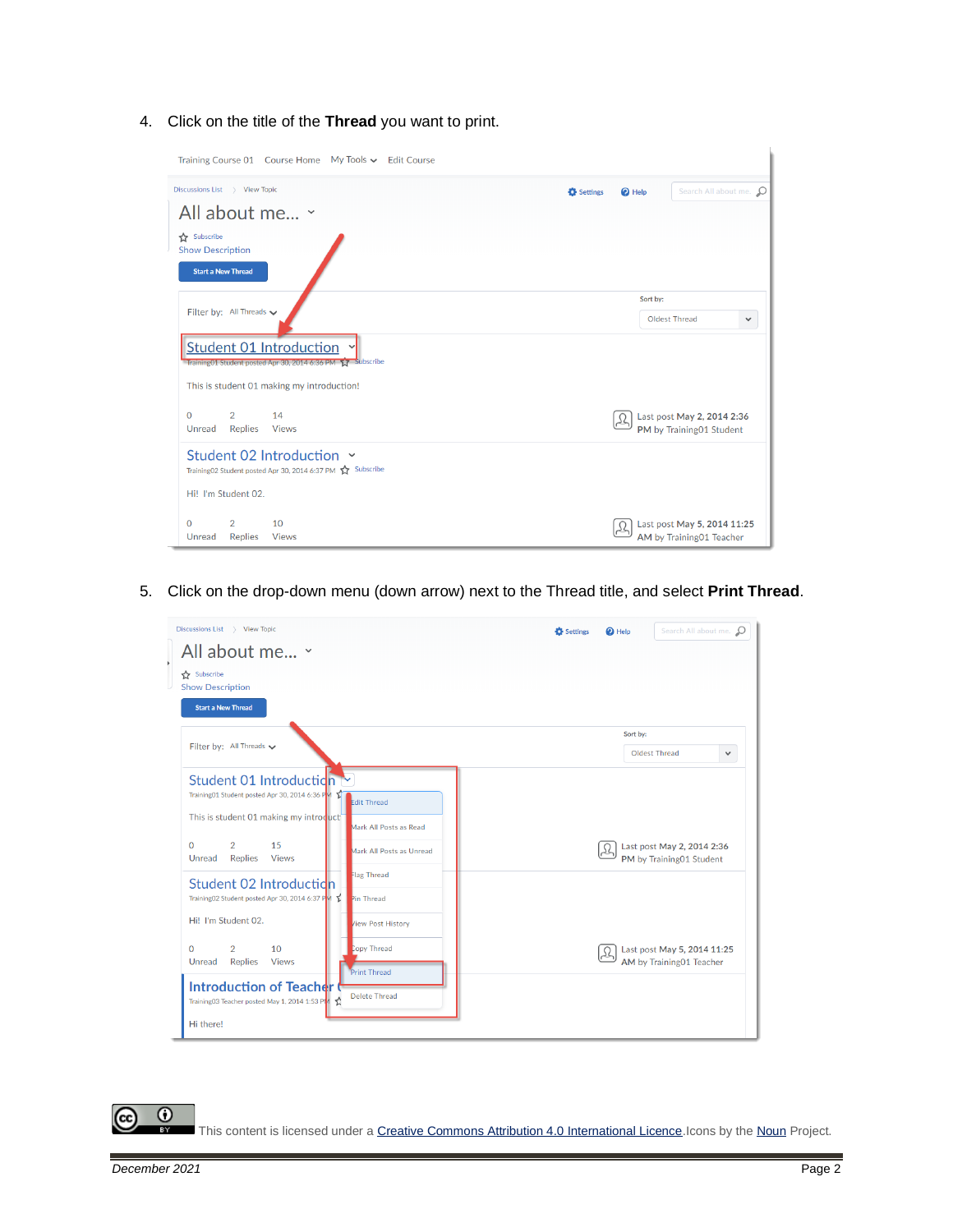4. Click on the title of the **Thread** you want to print.

| Training Course 01 Course Home My Tools v Edit Course                                         |                               |                                                         |
|-----------------------------------------------------------------------------------------------|-------------------------------|---------------------------------------------------------|
| Discussions List > View Topic                                                                 | <sup>O</sup> Help<br>Settings | Search All about me. 0                                  |
| All about me v                                                                                |                               |                                                         |
| Subscribe<br><b>Show Description</b><br><b>Start a New Thread</b>                             |                               |                                                         |
| Filter by: All Threads v                                                                      | Sort by:<br>Oldest Thread     | $\checkmark$                                            |
| <b>Student 01 Introduction</b><br>Training01 Student posted Apr 30, 2014 6:36 PM 17 Subscribe |                               |                                                         |
| This is student 01 making my introduction!                                                    |                               |                                                         |
| $\Omega$<br>$\overline{2}$<br>14<br>Unread<br><b>Replies</b><br><b>Views</b>                  |                               | Last post May 2, 2014 2:36<br>PM by Training01 Student  |
| Student 02 Introduction ×<br>Training02 Student posted Apr 30, 2014 6:37 PM <a> Subscribe</a> |                               |                                                         |
| Hi! I'm Student 02.                                                                           |                               |                                                         |
| $\Omega$<br>$\overline{2}$<br>10<br>Unread<br>Replies<br><b>Views</b>                         |                               | Last post May 5, 2014 11:25<br>AM by Training01 Teacher |

5. Click on the drop-down menu (down arrow) next to the Thread title, and select **Print Thread**.



This content is licensed under [a Creative Commons Attribution 4.0 International Licence.I](https://creativecommons.org/licenses/by/4.0/)cons by th[e Noun](https://creativecommons.org/website-icons/) Project.

 $\odot$